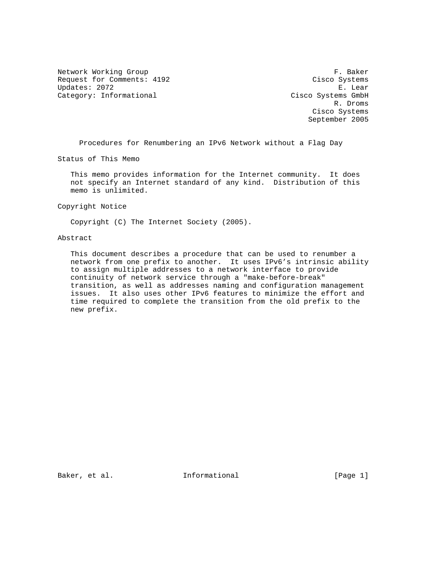Network Working Group **F. Baker** Request for Comments: 4192 Cisco Systems Updates: 2072 E. Lear Category: Informational Category: Cisco Systems GmbH

 R. Droms Cisco Systems September 2005

Procedures for Renumbering an IPv6 Network without a Flag Day

Status of This Memo

 This memo provides information for the Internet community. It does not specify an Internet standard of any kind. Distribution of this memo is unlimited.

Copyright Notice

Copyright (C) The Internet Society (2005).

#### Abstract

 This document describes a procedure that can be used to renumber a network from one prefix to another. It uses IPv6's intrinsic ability to assign multiple addresses to a network interface to provide continuity of network service through a "make-before-break" transition, as well as addresses naming and configuration management issues. It also uses other IPv6 features to minimize the effort and time required to complete the transition from the old prefix to the new prefix.

Baker, et al.  $I_n$  Informational [Page 1]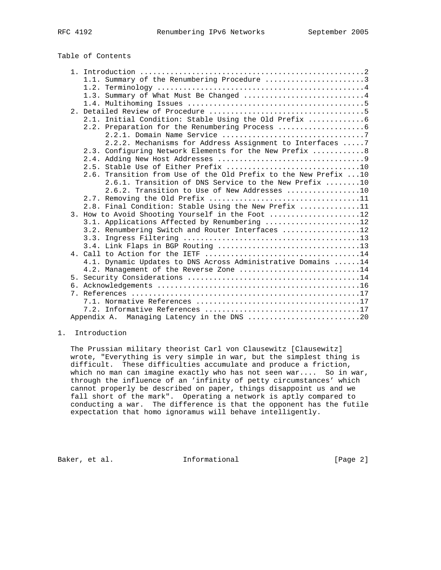Table of Contents

|  | 1.1. Summary of the Renumbering Procedure 3                      |
|--|------------------------------------------------------------------|
|  |                                                                  |
|  | 1.3. Summary of What Must Be Changed 4                           |
|  |                                                                  |
|  |                                                                  |
|  |                                                                  |
|  |                                                                  |
|  |                                                                  |
|  | 2.2.2. Mechanisms for Address Assignment to Interfaces  7        |
|  | 2.3. Configuring Network Elements for the New Prefix  8          |
|  |                                                                  |
|  |                                                                  |
|  | 2.6. Transition from Use of the Old Prefix to the New Prefix  10 |
|  | 2.6.1. Transition of DNS Service to the New Prefix 10            |
|  | 2.6.2. Transition to Use of New Addresses 10                     |
|  |                                                                  |
|  | 2.8. Final Condition: Stable Using the New Prefix 11             |
|  | 3. How to Avoid Shooting Yourself in the Foot                    |
|  | 3.1. Applications Affected by Renumbering 12                     |
|  | 3.2. Renumbering Switch and Router Interfaces 12                 |
|  |                                                                  |
|  |                                                                  |
|  |                                                                  |
|  | 4.1. Dynamic Updates to DNS Across Administrative Domains  14    |
|  | 4.2. Management of the Reverse Zone 14                           |
|  |                                                                  |
|  |                                                                  |
|  |                                                                  |
|  |                                                                  |
|  |                                                                  |
|  | Appendix A. Managing Latency in the DNS 20                       |
|  |                                                                  |

# 1. Introduction

 The Prussian military theorist Carl von Clausewitz [Clausewitz] wrote, "Everything is very simple in war, but the simplest thing is difficult. These difficulties accumulate and produce a friction, which no man can imagine exactly who has not seen war.... So in war, through the influence of an 'infinity of petty circumstances' which cannot properly be described on paper, things disappoint us and we fall short of the mark". Operating a network is aptly compared to conducting a war. The difference is that the opponent has the futile expectation that homo ignoramus will behave intelligently.

Baker, et al. 1nformational 1998 [Page 2]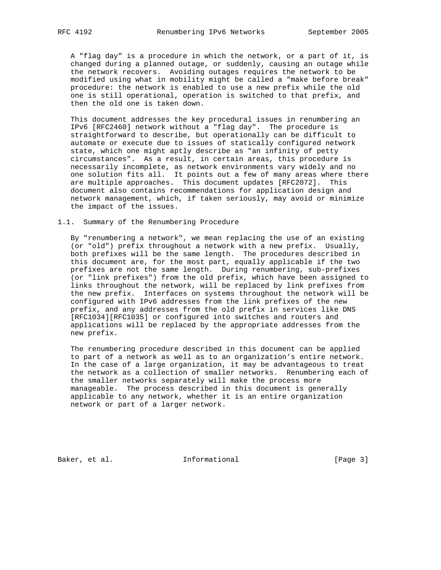A "flag day" is a procedure in which the network, or a part of it, is changed during a planned outage, or suddenly, causing an outage while the network recovers. Avoiding outages requires the network to be modified using what in mobility might be called a "make before break" procedure: the network is enabled to use a new prefix while the old one is still operational, operation is switched to that prefix, and then the old one is taken down.

 This document addresses the key procedural issues in renumbering an IPv6 [RFC2460] network without a "flag day". The procedure is straightforward to describe, but operationally can be difficult to automate or execute due to issues of statically configured network state, which one might aptly describe as "an infinity of petty circumstances". As a result, in certain areas, this procedure is necessarily incomplete, as network environments vary widely and no one solution fits all. It points out a few of many areas where there are multiple approaches. This document updates [RFC2072]. This document also contains recommendations for application design and network management, which, if taken seriously, may avoid or minimize the impact of the issues.

#### 1.1. Summary of the Renumbering Procedure

 By "renumbering a network", we mean replacing the use of an existing (or "old") prefix throughout a network with a new prefix. Usually, both prefixes will be the same length. The procedures described in this document are, for the most part, equally applicable if the two prefixes are not the same length. During renumbering, sub-prefixes (or "link prefixes") from the old prefix, which have been assigned to links throughout the network, will be replaced by link prefixes from the new prefix. Interfaces on systems throughout the network will be configured with IPv6 addresses from the link prefixes of the new prefix, and any addresses from the old prefix in services like DNS [RFC1034][RFC1035] or configured into switches and routers and applications will be replaced by the appropriate addresses from the new prefix.

 The renumbering procedure described in this document can be applied to part of a network as well as to an organization's entire network. In the case of a large organization, it may be advantageous to treat the network as a collection of smaller networks. Renumbering each of the smaller networks separately will make the process more manageable. The process described in this document is generally applicable to any network, whether it is an entire organization network or part of a larger network.

Baker, et al. 1nformational 1998 [Page 3]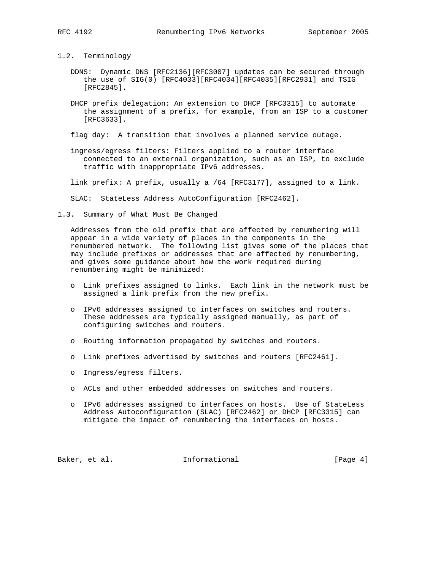1.2. Terminology

- DDNS: Dynamic DNS [RFC2136][RFC3007] updates can be secured through the use of SIG(0) [RFC4033][RFC4034][RFC4035][RFC2931] and TSIG [RFC2845].
- DHCP prefix delegation: An extension to DHCP [RFC3315] to automate the assignment of a prefix, for example, from an ISP to a customer [RFC3633].

flag day: A transition that involves a planned service outage.

 ingress/egress filters: Filters applied to a router interface connected to an external organization, such as an ISP, to exclude traffic with inappropriate IPv6 addresses.

link prefix: A prefix, usually a /64 [RFC3177], assigned to a link.

SLAC: StateLess Address AutoConfiguration [RFC2462].

1.3. Summary of What Must Be Changed

 Addresses from the old prefix that are affected by renumbering will appear in a wide variety of places in the components in the renumbered network. The following list gives some of the places that may include prefixes or addresses that are affected by renumbering, and gives some guidance about how the work required during renumbering might be minimized:

- o Link prefixes assigned to links. Each link in the network must be assigned a link prefix from the new prefix.
- o IPv6 addresses assigned to interfaces on switches and routers. These addresses are typically assigned manually, as part of configuring switches and routers.
- o Routing information propagated by switches and routers.
- o Link prefixes advertised by switches and routers [RFC2461].
- o Ingress/egress filters.
- o ACLs and other embedded addresses on switches and routers.
- o IPv6 addresses assigned to interfaces on hosts. Use of StateLess Address Autoconfiguration (SLAC) [RFC2462] or DHCP [RFC3315] can mitigate the impact of renumbering the interfaces on hosts.

Baker, et al. **Informational** [Page 4]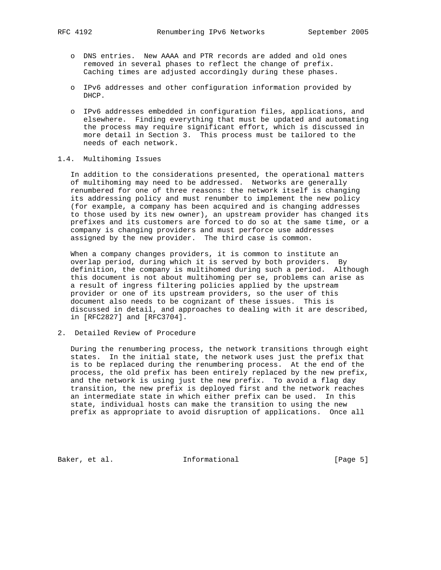- o DNS entries. New AAAA and PTR records are added and old ones removed in several phases to reflect the change of prefix. Caching times are adjusted accordingly during these phases.
- o IPv6 addresses and other configuration information provided by DHCP.
- o IPv6 addresses embedded in configuration files, applications, and elsewhere. Finding everything that must be updated and automating the process may require significant effort, which is discussed in more detail in Section 3. This process must be tailored to the needs of each network.

## 1.4. Multihoming Issues

 In addition to the considerations presented, the operational matters of multihoming may need to be addressed. Networks are generally renumbered for one of three reasons: the network itself is changing its addressing policy and must renumber to implement the new policy (for example, a company has been acquired and is changing addresses to those used by its new owner), an upstream provider has changed its prefixes and its customers are forced to do so at the same time, or a company is changing providers and must perforce use addresses assigned by the new provider. The third case is common.

 When a company changes providers, it is common to institute an overlap period, during which it is served by both providers. By definition, the company is multihomed during such a period. Although this document is not about multihoming per se, problems can arise as a result of ingress filtering policies applied by the upstream provider or one of its upstream providers, so the user of this document also needs to be cognizant of these issues. This is discussed in detail, and approaches to dealing with it are described, in [RFC2827] and [RFC3704].

# 2. Detailed Review of Procedure

 During the renumbering process, the network transitions through eight states. In the initial state, the network uses just the prefix that is to be replaced during the renumbering process. At the end of the process, the old prefix has been entirely replaced by the new prefix, and the network is using just the new prefix. To avoid a flag day transition, the new prefix is deployed first and the network reaches an intermediate state in which either prefix can be used. In this state, individual hosts can make the transition to using the new prefix as appropriate to avoid disruption of applications. Once all

Baker, et al. 1nformational 1998 [Page 5]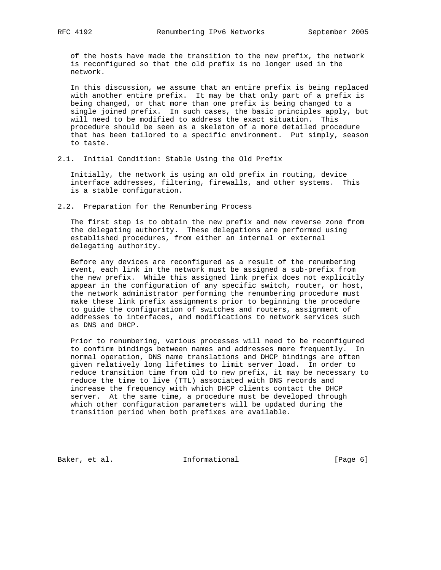of the hosts have made the transition to the new prefix, the network is reconfigured so that the old prefix is no longer used in the network.

 In this discussion, we assume that an entire prefix is being replaced with another entire prefix. It may be that only part of a prefix is being changed, or that more than one prefix is being changed to a single joined prefix. In such cases, the basic principles apply, but will need to be modified to address the exact situation. This procedure should be seen as a skeleton of a more detailed procedure that has been tailored to a specific environment. Put simply, season to taste.

2.1. Initial Condition: Stable Using the Old Prefix

 Initially, the network is using an old prefix in routing, device interface addresses, filtering, firewalls, and other systems. This is a stable configuration.

2.2. Preparation for the Renumbering Process

 The first step is to obtain the new prefix and new reverse zone from the delegating authority. These delegations are performed using established procedures, from either an internal or external delegating authority.

 Before any devices are reconfigured as a result of the renumbering event, each link in the network must be assigned a sub-prefix from the new prefix. While this assigned link prefix does not explicitly appear in the configuration of any specific switch, router, or host, the network administrator performing the renumbering procedure must make these link prefix assignments prior to beginning the procedure to guide the configuration of switches and routers, assignment of addresses to interfaces, and modifications to network services such as DNS and DHCP.

 Prior to renumbering, various processes will need to be reconfigured to confirm bindings between names and addresses more frequently. In normal operation, DNS name translations and DHCP bindings are often given relatively long lifetimes to limit server load. In order to reduce transition time from old to new prefix, it may be necessary to reduce the time to live (TTL) associated with DNS records and increase the frequency with which DHCP clients contact the DHCP server. At the same time, a procedure must be developed through which other configuration parameters will be updated during the transition period when both prefixes are available.

Baker, et al. 1nformational 1999 [Page 6]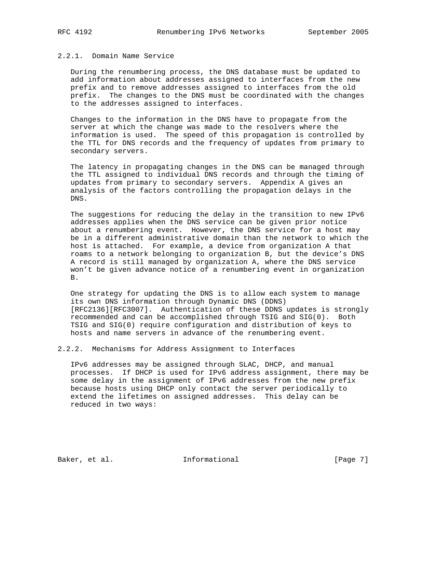## 2.2.1. Domain Name Service

 During the renumbering process, the DNS database must be updated to add information about addresses assigned to interfaces from the new prefix and to remove addresses assigned to interfaces from the old prefix. The changes to the DNS must be coordinated with the changes to the addresses assigned to interfaces.

 Changes to the information in the DNS have to propagate from the server at which the change was made to the resolvers where the information is used. The speed of this propagation is controlled by the TTL for DNS records and the frequency of updates from primary to secondary servers.

 The latency in propagating changes in the DNS can be managed through the TTL assigned to individual DNS records and through the timing of updates from primary to secondary servers. Appendix A gives an analysis of the factors controlling the propagation delays in the DNS.

 The suggestions for reducing the delay in the transition to new IPv6 addresses applies when the DNS service can be given prior notice about a renumbering event. However, the DNS service for a host may be in a different administrative domain than the network to which the host is attached. For example, a device from organization A that roams to a network belonging to organization B, but the device's DNS A record is still managed by organization A, where the DNS service won't be given advance notice of a renumbering event in organization B.

 One strategy for updating the DNS is to allow each system to manage its own DNS information through Dynamic DNS (DDNS) [RFC2136][RFC3007]. Authentication of these DDNS updates is strongly recommended and can be accomplished through TSIG and SIG(0). Both TSIG and SIG(0) require configuration and distribution of keys to hosts and name servers in advance of the renumbering event.

2.2.2. Mechanisms for Address Assignment to Interfaces

 IPv6 addresses may be assigned through SLAC, DHCP, and manual processes. If DHCP is used for IPv6 address assignment, there may be some delay in the assignment of IPv6 addresses from the new prefix because hosts using DHCP only contact the server periodically to extend the lifetimes on assigned addresses. This delay can be reduced in two ways:

Baker, et al. 1nformational 1998 [Page 7]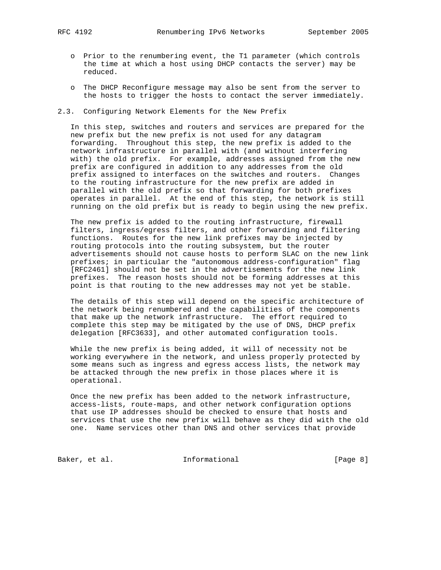- o Prior to the renumbering event, the T1 parameter (which controls the time at which a host using DHCP contacts the server) may be reduced.
- o The DHCP Reconfigure message may also be sent from the server to the hosts to trigger the hosts to contact the server immediately.
- 2.3. Configuring Network Elements for the New Prefix

 In this step, switches and routers and services are prepared for the new prefix but the new prefix is not used for any datagram forwarding. Throughout this step, the new prefix is added to the network infrastructure in parallel with (and without interfering with) the old prefix. For example, addresses assigned from the new prefix are configured in addition to any addresses from the old prefix assigned to interfaces on the switches and routers. Changes to the routing infrastructure for the new prefix are added in parallel with the old prefix so that forwarding for both prefixes operates in parallel. At the end of this step, the network is still running on the old prefix but is ready to begin using the new prefix.

 The new prefix is added to the routing infrastructure, firewall filters, ingress/egress filters, and other forwarding and filtering functions. Routes for the new link prefixes may be injected by routing protocols into the routing subsystem, but the router advertisements should not cause hosts to perform SLAC on the new link prefixes; in particular the "autonomous address-configuration" flag [RFC2461] should not be set in the advertisements for the new link prefixes. The reason hosts should not be forming addresses at this point is that routing to the new addresses may not yet be stable.

 The details of this step will depend on the specific architecture of the network being renumbered and the capabilities of the components that make up the network infrastructure. The effort required to complete this step may be mitigated by the use of DNS, DHCP prefix delegation [RFC3633], and other automated configuration tools.

 While the new prefix is being added, it will of necessity not be working everywhere in the network, and unless properly protected by some means such as ingress and egress access lists, the network may be attacked through the new prefix in those places where it is operational.

 Once the new prefix has been added to the network infrastructure, access-lists, route-maps, and other network configuration options that use IP addresses should be checked to ensure that hosts and services that use the new prefix will behave as they did with the old one. Name services other than DNS and other services that provide

Baker, et al. 1nformational 1999 [Page 8]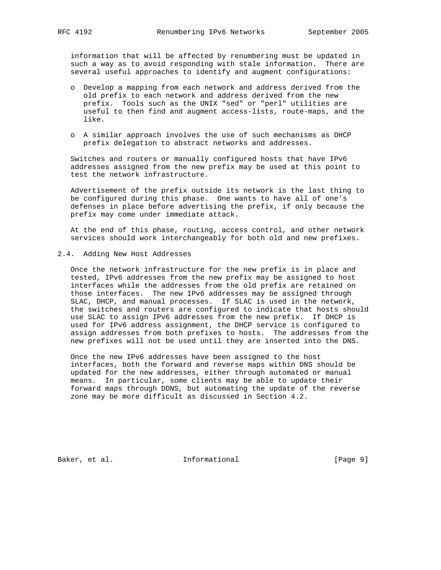information that will be affected by renumbering must be updated in such a way as to avoid responding with stale information. There are several useful approaches to identify and augment configurations:

- o Develop a mapping from each network and address derived from the old prefix to each network and address derived from the new prefix. Tools such as the UNIX "sed" or "perl" utilities are useful to then find and augment access-lists, route-maps, and the like.
- o A similar approach involves the use of such mechanisms as DHCP prefix delegation to abstract networks and addresses.

 Switches and routers or manually configured hosts that have IPv6 addresses assigned from the new prefix may be used at this point to test the network infrastructure.

 Advertisement of the prefix outside its network is the last thing to be configured during this phase. One wants to have all of one's defenses in place before advertising the prefix, if only because the prefix may come under immediate attack.

 At the end of this phase, routing, access control, and other network services should work interchangeably for both old and new prefixes.

### 2.4. Adding New Host Addresses

 Once the network infrastructure for the new prefix is in place and tested, IPv6 addresses from the new prefix may be assigned to host interfaces while the addresses from the old prefix are retained on those interfaces. The new IPv6 addresses may be assigned through SLAC, DHCP, and manual processes. If SLAC is used in the network, the switches and routers are configured to indicate that hosts should use SLAC to assign IPv6 addresses from the new prefix. If DHCP is used for IPv6 address assignment, the DHCP service is configured to assign addresses from both prefixes to hosts. The addresses from the new prefixes will not be used until they are inserted into the DNS.

 Once the new IPv6 addresses have been assigned to the host interfaces, both the forward and reverse maps within DNS should be updated for the new addresses, either through automated or manual means. In particular, some clients may be able to update their forward maps through DDNS, but automating the update of the reverse zone may be more difficult as discussed in Section 4.2.

Baker, et al. 1nformational 1999 [Page 9]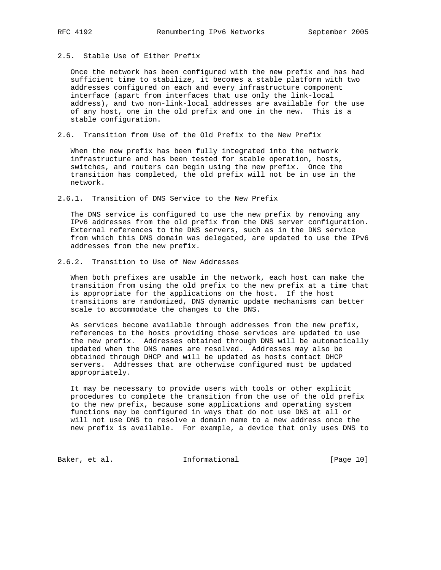# 2.5. Stable Use of Either Prefix

 Once the network has been configured with the new prefix and has had sufficient time to stabilize, it becomes a stable platform with two addresses configured on each and every infrastructure component interface (apart from interfaces that use only the link-local address), and two non-link-local addresses are available for the use of any host, one in the old prefix and one in the new. This is a stable configuration.

2.6. Transition from Use of the Old Prefix to the New Prefix

 When the new prefix has been fully integrated into the network infrastructure and has been tested for stable operation, hosts, switches, and routers can begin using the new prefix. Once the transition has completed, the old prefix will not be in use in the network.

2.6.1. Transition of DNS Service to the New Prefix

 The DNS service is configured to use the new prefix by removing any IPv6 addresses from the old prefix from the DNS server configuration. External references to the DNS servers, such as in the DNS service from which this DNS domain was delegated, are updated to use the IPv6 addresses from the new prefix.

2.6.2. Transition to Use of New Addresses

 When both prefixes are usable in the network, each host can make the transition from using the old prefix to the new prefix at a time that is appropriate for the applications on the host. If the host transitions are randomized, DNS dynamic update mechanisms can better scale to accommodate the changes to the DNS.

 As services become available through addresses from the new prefix, references to the hosts providing those services are updated to use the new prefix. Addresses obtained through DNS will be automatically updated when the DNS names are resolved. Addresses may also be obtained through DHCP and will be updated as hosts contact DHCP servers. Addresses that are otherwise configured must be updated appropriately.

 It may be necessary to provide users with tools or other explicit procedures to complete the transition from the use of the old prefix to the new prefix, because some applications and operating system functions may be configured in ways that do not use DNS at all or will not use DNS to resolve a domain name to a new address once the new prefix is available. For example, a device that only uses DNS to

Baker, et al. 10 Informational [Page 10]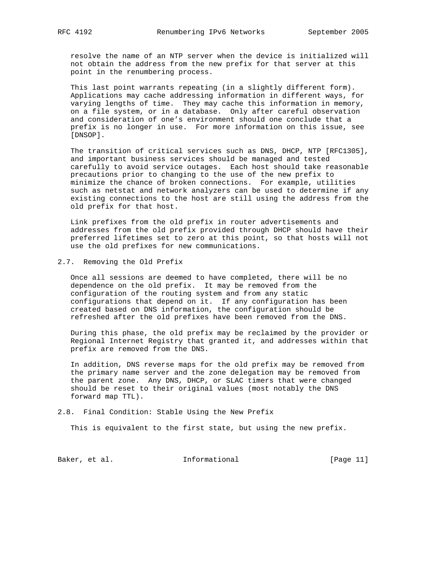resolve the name of an NTP server when the device is initialized will not obtain the address from the new prefix for that server at this point in the renumbering process.

 This last point warrants repeating (in a slightly different form). Applications may cache addressing information in different ways, for varying lengths of time. They may cache this information in memory, on a file system, or in a database. Only after careful observation and consideration of one's environment should one conclude that a prefix is no longer in use. For more information on this issue, see [DNSOP].

 The transition of critical services such as DNS, DHCP, NTP [RFC1305], and important business services should be managed and tested carefully to avoid service outages. Each host should take reasonable precautions prior to changing to the use of the new prefix to minimize the chance of broken connections. For example, utilities such as netstat and network analyzers can be used to determine if any existing connections to the host are still using the address from the old prefix for that host.

 Link prefixes from the old prefix in router advertisements and addresses from the old prefix provided through DHCP should have their preferred lifetimes set to zero at this point, so that hosts will not use the old prefixes for new communications.

## 2.7. Removing the Old Prefix

 Once all sessions are deemed to have completed, there will be no dependence on the old prefix. It may be removed from the configuration of the routing system and from any static configurations that depend on it. If any configuration has been created based on DNS information, the configuration should be refreshed after the old prefixes have been removed from the DNS.

 During this phase, the old prefix may be reclaimed by the provider or Regional Internet Registry that granted it, and addresses within that prefix are removed from the DNS.

 In addition, DNS reverse maps for the old prefix may be removed from the primary name server and the zone delegation may be removed from the parent zone. Any DNS, DHCP, or SLAC timers that were changed should be reset to their original values (most notably the DNS forward map TTL).

## 2.8. Final Condition: Stable Using the New Prefix

This is equivalent to the first state, but using the new prefix.

Baker, et al. 10. Informational [Page 11]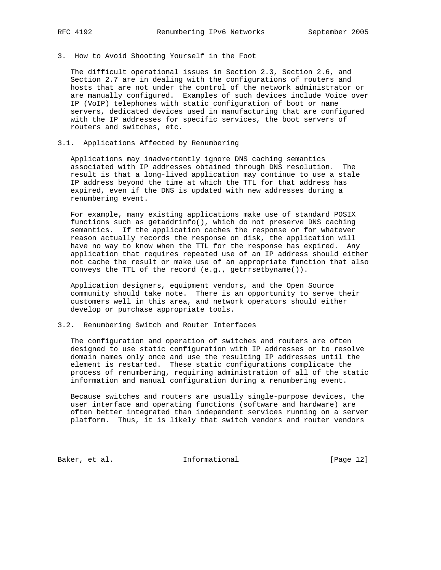3. How to Avoid Shooting Yourself in the Foot

 The difficult operational issues in Section 2.3, Section 2.6, and Section 2.7 are in dealing with the configurations of routers and hosts that are not under the control of the network administrator or are manually configured. Examples of such devices include Voice over IP (VoIP) telephones with static configuration of boot or name servers, dedicated devices used in manufacturing that are configured with the IP addresses for specific services, the boot servers of routers and switches, etc.

3.1. Applications Affected by Renumbering

 Applications may inadvertently ignore DNS caching semantics associated with IP addresses obtained through DNS resolution. The result is that a long-lived application may continue to use a stale IP address beyond the time at which the TTL for that address has expired, even if the DNS is updated with new addresses during a renumbering event.

 For example, many existing applications make use of standard POSIX functions such as getaddrinfo(), which do not preserve DNS caching semantics. If the application caches the response or for whatever reason actually records the response on disk, the application will have no way to know when the TTL for the response has expired. Any application that requires repeated use of an IP address should either not cache the result or make use of an appropriate function that also conveys the TTL of the record (e.g., getrrsetbyname()).

 Application designers, equipment vendors, and the Open Source community should take note. There is an opportunity to serve their customers well in this area, and network operators should either develop or purchase appropriate tools.

3.2. Renumbering Switch and Router Interfaces

 The configuration and operation of switches and routers are often designed to use static configuration with IP addresses or to resolve domain names only once and use the resulting IP addresses until the element is restarted. These static configurations complicate the process of renumbering, requiring administration of all of the static information and manual configuration during a renumbering event.

 Because switches and routers are usually single-purpose devices, the user interface and operating functions (software and hardware) are often better integrated than independent services running on a server platform. Thus, it is likely that switch vendors and router vendors

Baker, et al. 1nformational [Page 12]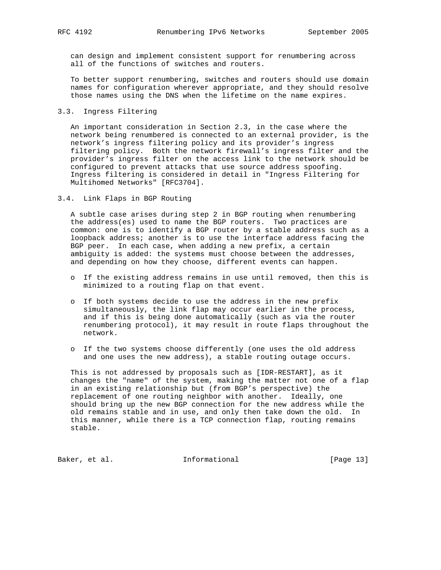can design and implement consistent support for renumbering across all of the functions of switches and routers.

 To better support renumbering, switches and routers should use domain names for configuration wherever appropriate, and they should resolve those names using the DNS when the lifetime on the name expires.

#### 3.3. Ingress Filtering

 An important consideration in Section 2.3, in the case where the network being renumbered is connected to an external provider, is the network's ingress filtering policy and its provider's ingress filtering policy. Both the network firewall's ingress filter and the provider's ingress filter on the access link to the network should be configured to prevent attacks that use source address spoofing. Ingress filtering is considered in detail in "Ingress Filtering for Multihomed Networks" [RFC3704].

3.4. Link Flaps in BGP Routing

 A subtle case arises during step 2 in BGP routing when renumbering the address(es) used to name the BGP routers. Two practices are common: one is to identify a BGP router by a stable address such as a loopback address; another is to use the interface address facing the BGP peer. In each case, when adding a new prefix, a certain ambiguity is added: the systems must choose between the addresses, and depending on how they choose, different events can happen.

- o If the existing address remains in use until removed, then this is minimized to a routing flap on that event.
- o If both systems decide to use the address in the new prefix simultaneously, the link flap may occur earlier in the process, and if this is being done automatically (such as via the router renumbering protocol), it may result in route flaps throughout the network.
- o If the two systems choose differently (one uses the old address and one uses the new address), a stable routing outage occurs.

 This is not addressed by proposals such as [IDR-RESTART], as it changes the "name" of the system, making the matter not one of a flap in an existing relationship but (from BGP's perspective) the replacement of one routing neighbor with another. Ideally, one should bring up the new BGP connection for the new address while the old remains stable and in use, and only then take down the old. In this manner, while there is a TCP connection flap, routing remains stable.

Baker, et al. 10 Informational [Page 13]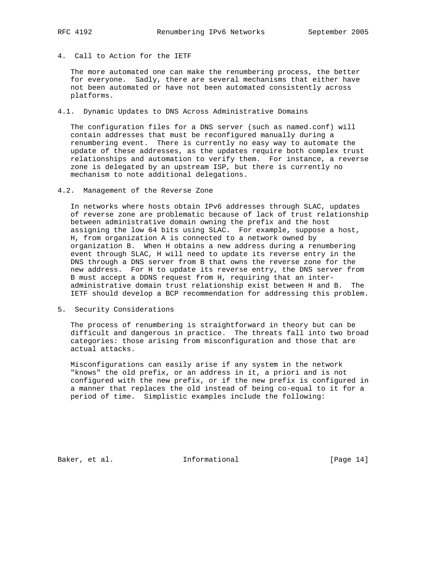# 4. Call to Action for the IETF

 The more automated one can make the renumbering process, the better for everyone. Sadly, there are several mechanisms that either have not been automated or have not been automated consistently across platforms.

## 4.1. Dynamic Updates to DNS Across Administrative Domains

 The configuration files for a DNS server (such as named.conf) will contain addresses that must be reconfigured manually during a renumbering event. There is currently no easy way to automate the update of these addresses, as the updates require both complex trust relationships and automation to verify them. For instance, a reverse zone is delegated by an upstream ISP, but there is currently no mechanism to note additional delegations.

#### 4.2. Management of the Reverse Zone

 In networks where hosts obtain IPv6 addresses through SLAC, updates of reverse zone are problematic because of lack of trust relationship between administrative domain owning the prefix and the host assigning the low 64 bits using SLAC. For example, suppose a host, H, from organization A is connected to a network owned by organization B. When H obtains a new address during a renumbering event through SLAC, H will need to update its reverse entry in the DNS through a DNS server from B that owns the reverse zone for the new address. For H to update its reverse entry, the DNS server from B must accept a DDNS request from H, requiring that an inter administrative domain trust relationship exist between H and B. The IETF should develop a BCP recommendation for addressing this problem.

## 5. Security Considerations

 The process of renumbering is straightforward in theory but can be difficult and dangerous in practice. The threats fall into two broad categories: those arising from misconfiguration and those that are actual attacks.

 Misconfigurations can easily arise if any system in the network "knows" the old prefix, or an address in it, a priori and is not configured with the new prefix, or if the new prefix is configured in a manner that replaces the old instead of being co-equal to it for a period of time. Simplistic examples include the following:

Baker, et al. 10 Informational [Page 14]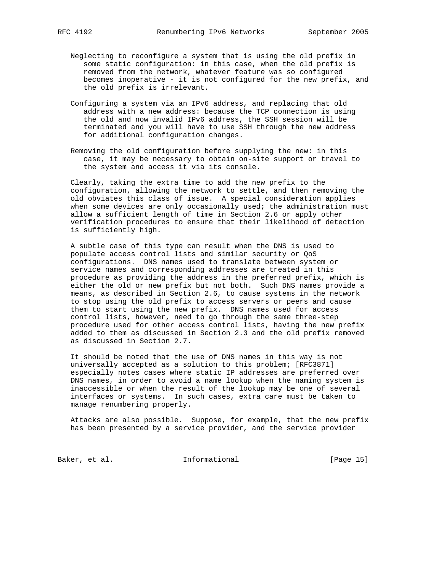- Neglecting to reconfigure a system that is using the old prefix in some static configuration: in this case, when the old prefix is removed from the network, whatever feature was so configured becomes inoperative - it is not configured for the new prefix, and the old prefix is irrelevant.
- Configuring a system via an IPv6 address, and replacing that old address with a new address: because the TCP connection is using the old and now invalid IPv6 address, the SSH session will be terminated and you will have to use SSH through the new address for additional configuration changes.
- Removing the old configuration before supplying the new: in this case, it may be necessary to obtain on-site support or travel to the system and access it via its console.

 Clearly, taking the extra time to add the new prefix to the configuration, allowing the network to settle, and then removing the old obviates this class of issue. A special consideration applies when some devices are only occasionally used; the administration must allow a sufficient length of time in Section 2.6 or apply other verification procedures to ensure that their likelihood of detection is sufficiently high.

 A subtle case of this type can result when the DNS is used to populate access control lists and similar security or QoS configurations. DNS names used to translate between system or service names and corresponding addresses are treated in this procedure as providing the address in the preferred prefix, which is either the old or new prefix but not both. Such DNS names provide a means, as described in Section 2.6, to cause systems in the network to stop using the old prefix to access servers or peers and cause them to start using the new prefix. DNS names used for access control lists, however, need to go through the same three-step procedure used for other access control lists, having the new prefix added to them as discussed in Section 2.3 and the old prefix removed as discussed in Section 2.7.

 It should be noted that the use of DNS names in this way is not universally accepted as a solution to this problem; [RFC3871] especially notes cases where static IP addresses are preferred over DNS names, in order to avoid a name lookup when the naming system is inaccessible or when the result of the lookup may be one of several interfaces or systems. In such cases, extra care must be taken to manage renumbering properly.

 Attacks are also possible. Suppose, for example, that the new prefix has been presented by a service provider, and the service provider

Baker, et al. 10 Informational [Page 15]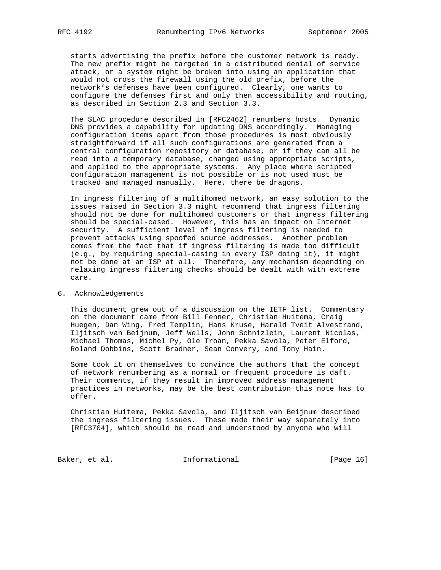starts advertising the prefix before the customer network is ready. The new prefix might be targeted in a distributed denial of service attack, or a system might be broken into using an application that would not cross the firewall using the old prefix, before the network's defenses have been configured. Clearly, one wants to configure the defenses first and only then accessibility and routing, as described in Section 2.3 and Section 3.3.

 The SLAC procedure described in [RFC2462] renumbers hosts. Dynamic DNS provides a capability for updating DNS accordingly. Managing configuration items apart from those procedures is most obviously straightforward if all such configurations are generated from a central configuration repository or database, or if they can all be read into a temporary database, changed using appropriate scripts, and applied to the appropriate systems. Any place where scripted configuration management is not possible or is not used must be tracked and managed manually. Here, there be dragons.

 In ingress filtering of a multihomed network, an easy solution to the issues raised in Section 3.3 might recommend that ingress filtering should not be done for multihomed customers or that ingress filtering should be special-cased. However, this has an impact on Internet security. A sufficient level of ingress filtering is needed to prevent attacks using spoofed source addresses. Another problem comes from the fact that if ingress filtering is made too difficult (e.g., by requiring special-casing in every ISP doing it), it might not be done at an ISP at all. Therefore, any mechanism depending on relaxing ingress filtering checks should be dealt with with extreme care.

#### 6. Acknowledgements

 This document grew out of a discussion on the IETF list. Commentary on the document came from Bill Fenner, Christian Huitema, Craig Huegen, Dan Wing, Fred Templin, Hans Kruse, Harald Tveit Alvestrand, Iljitsch van Beijnum, Jeff Wells, John Schnizlein, Laurent Nicolas, Michael Thomas, Michel Py, Ole Troan, Pekka Savola, Peter Elford, Roland Dobbins, Scott Bradner, Sean Convery, and Tony Hain.

 Some took it on themselves to convince the authors that the concept of network renumbering as a normal or frequent procedure is daft. Their comments, if they result in improved address management practices in networks, may be the best contribution this note has to offer.

 Christian Huitema, Pekka Savola, and Iljitsch van Beijnum described the ingress filtering issues. These made their way separately into [RFC3704], which should be read and understood by anyone who will

Baker, et al. 10 Informational [Page 16]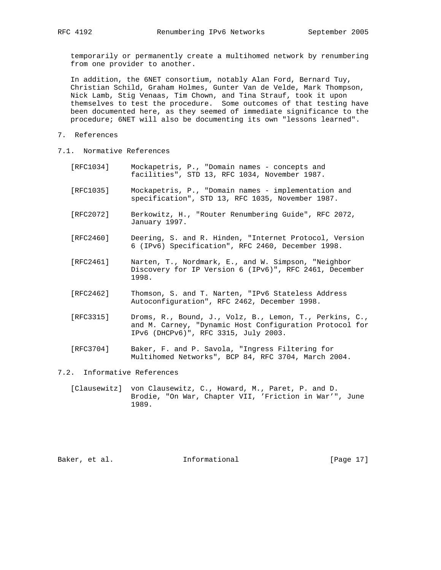temporarily or permanently create a multihomed network by renumbering from one provider to another.

 In addition, the 6NET consortium, notably Alan Ford, Bernard Tuy, Christian Schild, Graham Holmes, Gunter Van de Velde, Mark Thompson, Nick Lamb, Stig Venaas, Tim Chown, and Tina Strauf, took it upon themselves to test the procedure. Some outcomes of that testing have been documented here, as they seemed of immediate significance to the procedure; 6NET will also be documenting its own "lessons learned".

- 7. References
- 7.1. Normative References
	- [RFC1034] Mockapetris, P., "Domain names concepts and facilities", STD 13, RFC 1034, November 1987.
	- [RFC1035] Mockapetris, P., "Domain names implementation and specification", STD 13, RFC 1035, November 1987.
	- [RFC2072] Berkowitz, H., "Router Renumbering Guide", RFC 2072, January 1997.
	- [RFC2460] Deering, S. and R. Hinden, "Internet Protocol, Version 6 (IPv6) Specification", RFC 2460, December 1998.
	- [RFC2461] Narten, T., Nordmark, E., and W. Simpson, "Neighbor Discovery for IP Version 6 (IPv6)", RFC 2461, December 1998.
	- [RFC2462] Thomson, S. and T. Narten, "IPv6 Stateless Address Autoconfiguration", RFC 2462, December 1998.
	- [RFC3315] Droms, R., Bound, J., Volz, B., Lemon, T., Perkins, C., and M. Carney, "Dynamic Host Configuration Protocol for IPv6 (DHCPv6)", RFC 3315, July 2003.
	- [RFC3704] Baker, F. and P. Savola, "Ingress Filtering for Multihomed Networks", BCP 84, RFC 3704, March 2004.
- 7.2. Informative References
	- [Clausewitz] von Clausewitz, C., Howard, M., Paret, P. and D. Brodie, "On War, Chapter VII, 'Friction in War'", June 1989.

Baker, et al. **Informational** [Page 17]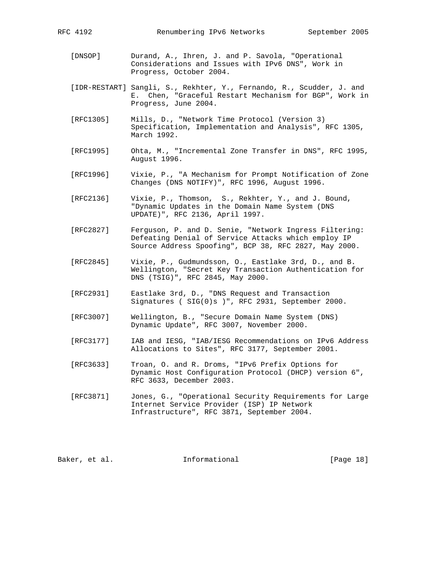- [DNSOP] Durand, A., Ihren, J. and P. Savola, "Operational Considerations and Issues with IPv6 DNS", Work in Progress, October 2004.
- [IDR-RESTART] Sangli, S., Rekhter, Y., Fernando, R., Scudder, J. and E. Chen, "Graceful Restart Mechanism for BGP", Work in Progress, June 2004.
- [RFC1305] Mills, D., "Network Time Protocol (Version 3) Specification, Implementation and Analysis", RFC 1305, March 1992.
- [RFC1995] Ohta, M., "Incremental Zone Transfer in DNS", RFC 1995, August 1996.
- [RFC1996] Vixie, P., "A Mechanism for Prompt Notification of Zone Changes (DNS NOTIFY)", RFC 1996, August 1996.
- [RFC2136] Vixie, P., Thomson, S., Rekhter, Y., and J. Bound, "Dynamic Updates in the Domain Name System (DNS UPDATE)", RFC 2136, April 1997.
- [RFC2827] Ferguson, P. and D. Senie, "Network Ingress Filtering: Defeating Denial of Service Attacks which employ IP Source Address Spoofing", BCP 38, RFC 2827, May 2000.
- [RFC2845] Vixie, P., Gudmundsson, O., Eastlake 3rd, D., and B. Wellington, "Secret Key Transaction Authentication for DNS (TSIG)", RFC 2845, May 2000.
- [RFC2931] Eastlake 3rd, D., "DNS Request and Transaction Signatures ( SIG(0)s )", RFC 2931, September 2000.
- [RFC3007] Wellington, B., "Secure Domain Name System (DNS) Dynamic Update", RFC 3007, November 2000.
- [RFC3177] IAB and IESG, "IAB/IESG Recommendations on IPv6 Address Allocations to Sites", RFC 3177, September 2001.
- [RFC3633] Troan, O. and R. Droms, "IPv6 Prefix Options for Dynamic Host Configuration Protocol (DHCP) version 6", RFC 3633, December 2003.
- [RFC3871] Jones, G., "Operational Security Requirements for Large Internet Service Provider (ISP) IP Network Infrastructure", RFC 3871, September 2004.

Baker, et al. **Informational** [Page 18]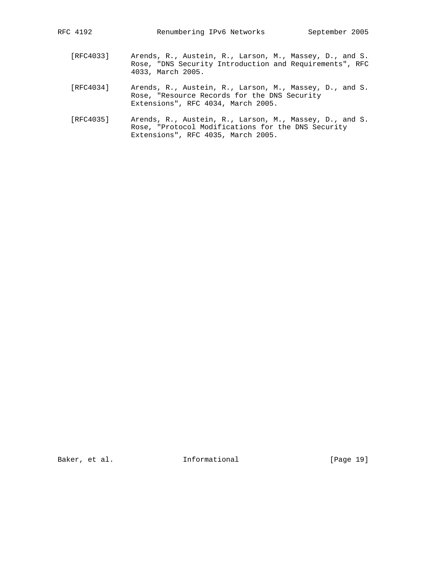- [RFC4033] Arends, R., Austein, R., Larson, M., Massey, D., and S. Rose, "DNS Security Introduction and Requirements", RFC 4033, March 2005.
- [RFC4034] Arends, R., Austein, R., Larson, M., Massey, D., and S. Rose, "Resource Records for the DNS Security Extensions", RFC 4034, March 2005.
- [RFC4035] Arends, R., Austein, R., Larson, M., Massey, D., and S. Rose, "Protocol Modifications for the DNS Security Extensions", RFC 4035, March 2005.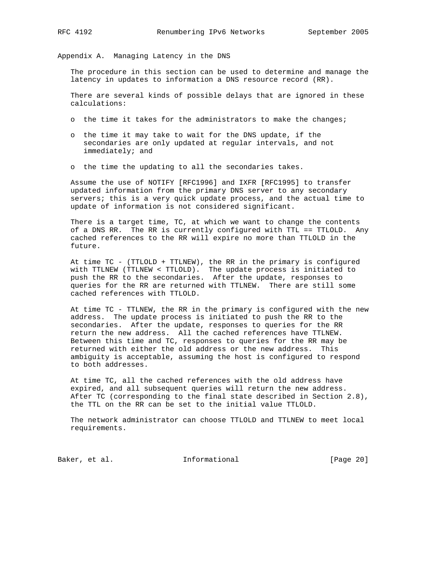Appendix A. Managing Latency in the DNS

 The procedure in this section can be used to determine and manage the latency in updates to information a DNS resource record (RR).

 There are several kinds of possible delays that are ignored in these calculations:

- o the time it takes for the administrators to make the changes;
- o the time it may take to wait for the DNS update, if the secondaries are only updated at regular intervals, and not immediately; and
- o the time the updating to all the secondaries takes.

 Assume the use of NOTIFY [RFC1996] and IXFR [RFC1995] to transfer updated information from the primary DNS server to any secondary servers; this is a very quick update process, and the actual time to update of information is not considered significant.

 There is a target time, TC, at which we want to change the contents of a DNS RR. The RR is currently configured with TTL == TTLOLD. Any cached references to the RR will expire no more than TTLOLD in the future.

 At time TC - (TTLOLD + TTLNEW), the RR in the primary is configured with TTLNEW (TTLNEW < TTLOLD). The update process is initiated to push the RR to the secondaries. After the update, responses to queries for the RR are returned with TTLNEW. There are still some cached references with TTLOLD.

 At time TC - TTLNEW, the RR in the primary is configured with the new address. The update process is initiated to push the RR to the secondaries. After the update, responses to queries for the RR return the new address. All the cached references have TTLNEW. Between this time and TC, responses to queries for the RR may be returned with either the old address or the new address. This ambiguity is acceptable, assuming the host is configured to respond to both addresses.

 At time TC, all the cached references with the old address have expired, and all subsequent queries will return the new address. After TC (corresponding to the final state described in Section 2.8), the TTL on the RR can be set to the initial value TTLOLD.

 The network administrator can choose TTLOLD and TTLNEW to meet local requirements.

Baker, et al. 1nformational [Page 20]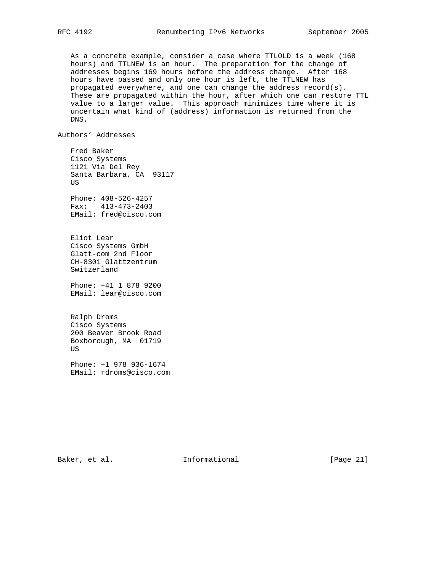As a concrete example, consider a case where TTLOLD is a week (168 hours) and TTLNEW is an hour. The preparation for the change of addresses begins 169 hours before the address change. After 168 hours have passed and only one hour is left, the TTLNEW has propagated everywhere, and one can change the address record(s). These are propagated within the hour, after which one can restore TTL value to a larger value. This approach minimizes time where it is uncertain what kind of (address) information is returned from the DNS.

Authors' Addresses

 Fred Baker Cisco Systems 1121 Via Del Rey Santa Barbara, CA 93117 US

 Phone: 408-526-4257 Fax: 413-473-2403 EMail: fred@cisco.com

 Eliot Lear Cisco Systems GmbH Glatt-com 2nd Floor CH-8301 Glattzentrum Switzerland

 Phone: +41 1 878 9200 EMail: lear@cisco.com

 Ralph Droms Cisco Systems 200 Beaver Brook Road Boxborough, MA 01719 US

 Phone: +1 978 936-1674 EMail: rdroms@cisco.com

Baker, et al. **Informational** [Page 21]